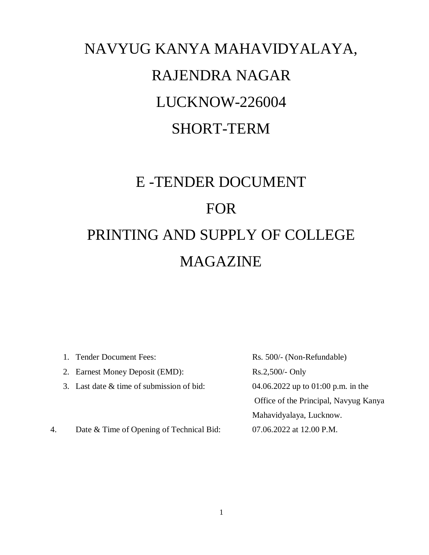# NAVYUG KANYA MAHAVIDYALAYA, RAJENDRA NAGAR LUCKNOW-226004 SHORT-TERM

# E -TENDER DOCUMENT FOR PRINTING AND SUPPLY OF COLLEGE MAGAZINE

|    | 1. Tender Document Fees:                  | Rs. 500/- (Non-Refundable)            |
|----|-------------------------------------------|---------------------------------------|
|    | 2. Earnest Money Deposit (EMD):           | $Rs.2,500/$ - Only                    |
|    | 3. Last date & time of submission of bid: | 04.06.2022 up to 01:00 p.m. in the    |
|    |                                           | Office of the Principal, Navyug Kanya |
|    |                                           | Mahavidyalaya, Lucknow.               |
| 4. | Date & Time of Opening of Technical Bid:  | 07.06.2022 at 12.00 P.M.              |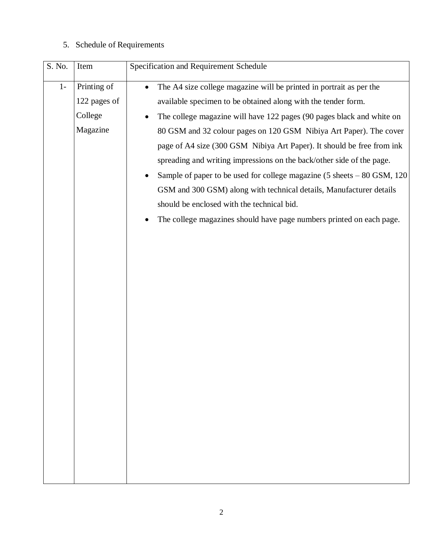# 5. Schedule of Requirements

| Printing of<br>$1-$<br>The A4 size college magazine will be printed in portrait as per the<br>$\bullet$<br>122 pages of<br>available specimen to be obtained along with the tender form.<br>College<br>Magazine<br>spreading and writing impressions on the back/other side of the page.<br>should be enclosed with the technical bid. | S. No. | Item | Specification and Requirement Schedule                                                                                                                                                                                                                                                                                                                                                                                                          |
|----------------------------------------------------------------------------------------------------------------------------------------------------------------------------------------------------------------------------------------------------------------------------------------------------------------------------------------|--------|------|-------------------------------------------------------------------------------------------------------------------------------------------------------------------------------------------------------------------------------------------------------------------------------------------------------------------------------------------------------------------------------------------------------------------------------------------------|
|                                                                                                                                                                                                                                                                                                                                        |        |      | The college magazine will have 122 pages (90 pages black and white on<br>80 GSM and 32 colour pages on 120 GSM Nibiya Art Paper). The cover<br>page of A4 size (300 GSM Nibiya Art Paper). It should be free from ink<br>Sample of paper to be used for college magazine (5 sheets - 80 GSM, 120<br>GSM and 300 GSM) along with technical details, Manufacturer details<br>The college magazines should have page numbers printed on each page. |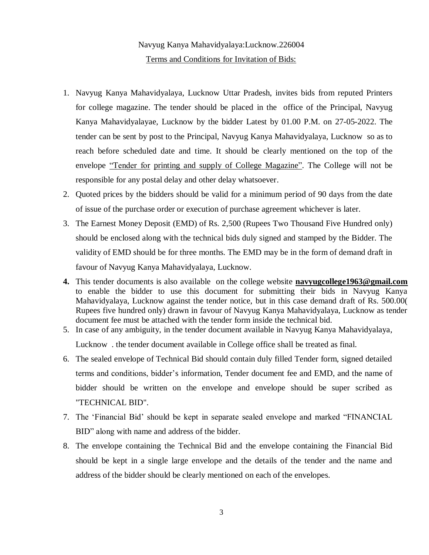## Navyug Kanya Mahavidyalaya:Lucknow.226004 Terms and Conditions for Invitation of Bids:

- 1. Navyug Kanya Mahavidyalaya, Lucknow Uttar Pradesh, invites bids from reputed Printers for college magazine. The tender should be placed in the office of the Principal, Navyug Kanya Mahavidyalayae, Lucknow by the bidder Latest by 01.00 P.M. on 27-05-2022. The tender can be sent by post to the Principal, Navyug Kanya Mahavidyalaya, Lucknow so as to reach before scheduled date and time. It should be clearly mentioned on the top of the envelope "Tender for printing and supply of College Magazine". The College will not be responsible for any postal delay and other delay whatsoever.
- 2. Quoted prices by the bidders should be valid for a minimum period of 90 days from the date of issue of the purchase order or execution of purchase agreement whichever is later.
- 3. The Earnest Money Deposit (EMD) of Rs. 2,500 (Rupees Two Thousand Five Hundred only) should be enclosed along with the technical bids duly signed and stamped by the Bidder. The validity of EMD should be for three months. The EMD may be in the form of demand draft in favour of Navyug Kanya Mahavidyalaya, Lucknow.
- **4.** This tender documents is also available on the college website **[navyugcollege1963@gmail.com](mailto:navyugcollege1963@gmail.com)** to enable the bidder to use this document for submitting their bids in Navyug Kanya Mahavidyalaya, Lucknow against the tender notice, but in this case demand draft of Rs. 500.00( Rupees five hundred only) drawn in favour of Navyug Kanya Mahavidyalaya, Lucknow as tender document fee must be attached with the tender form inside the technical bid.
- 5. In case of any ambiguity, in the tender document available in Navyug Kanya Mahavidyalaya,

Lucknow . the tender document available in College office shall be treated as final.

- 6. The sealed envelope of Technical Bid should contain duly filled Tender form, signed detailed terms and conditions, bidder"s information, Tender document fee and EMD, and the name of bidder should be written on the envelope and envelope should be super scribed as "TECHNICAL BID".
- 7. The "Financial Bid" should be kept in separate sealed envelope and marked "FINANCIAL BID" along with name and address of the bidder.
- 8. The envelope containing the Technical Bid and the envelope containing the Financial Bid should be kept in a single large envelope and the details of the tender and the name and address of the bidder should be clearly mentioned on each of the envelopes.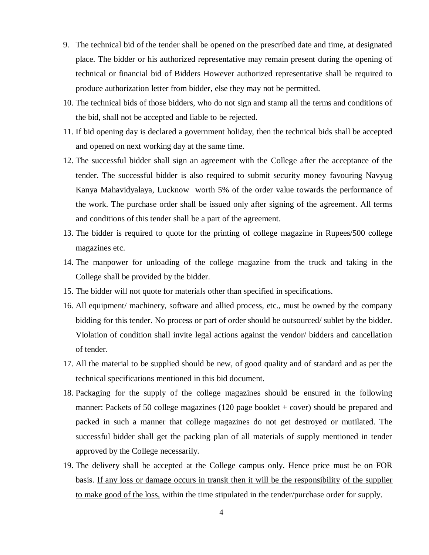- 9. The technical bid of the tender shall be opened on the prescribed date and time, at designated place. The bidder or his authorized representative may remain present during the opening of technical or financial bid of Bidders However authorized representative shall be required to produce authorization letter from bidder, else they may not be permitted.
- 10. The technical bids of those bidders, who do not sign and stamp all the terms and conditions of the bid, shall not be accepted and liable to be rejected.
- 11. If bid opening day is declared a government holiday, then the technical bids shall be accepted and opened on next working day at the same time.
- 12. The successful bidder shall sign an agreement with the College after the acceptance of the tender. The successful bidder is also required to submit security money favouring Navyug Kanya Mahavidyalaya, Lucknow worth 5% of the order value towards the performance of the work. The purchase order shall be issued only after signing of the agreement. All terms and conditions of this tender shall be a part of the agreement.
- 13. The bidder is required to quote for the printing of college magazine in Rupees/500 college magazines etc.
- 14. The manpower for unloading of the college magazine from the truck and taking in the College shall be provided by the bidder.
- 15. The bidder will not quote for materials other than specified in specifications.
- 16. All equipment/ machinery, software and allied process, etc., must be owned by the company bidding for this tender. No process or part of order should be outsourced/ sublet by the bidder. Violation of condition shall invite legal actions against the vendor/ bidders and cancellation of tender.
- 17. All the material to be supplied should be new, of good quality and of standard and as per the technical specifications mentioned in this bid document.
- 18. Packaging for the supply of the college magazines should be ensured in the following manner: Packets of 50 college magazines (120 page booklet + cover) should be prepared and packed in such a manner that college magazines do not get destroyed or mutilated. The successful bidder shall get the packing plan of all materials of supply mentioned in tender approved by the College necessarily.
- 19. The delivery shall be accepted at the College campus only. Hence price must be on FOR basis. If any loss or damage occurs in transit then it will be the responsibility of the supplier to make good of the loss, within the time stipulated in the tender/purchase order for supply.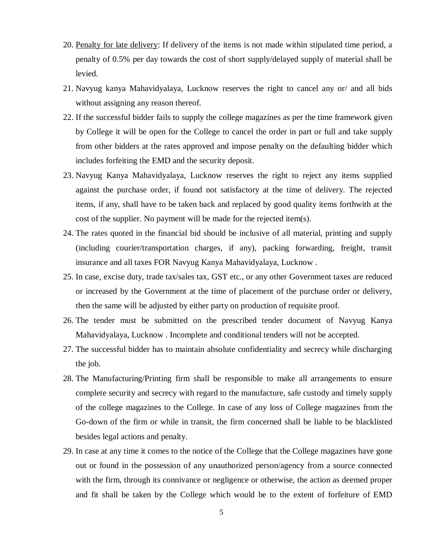- 20. Penalty for late delivery: If delivery of the items is not made within stipulated time period, a penalty of 0.5% per day towards the cost of short supply/delayed supply of material shall be levied.
- 21. Navyug kanya Mahavidyalaya, Lucknow reserves the right to cancel any or/ and all bids without assigning any reason thereof.
- 22. If the successful bidder fails to supply the college magazines as per the time framework given by College it will be open for the College to cancel the order in part or full and take supply from other bidders at the rates approved and impose penalty on the defaulting bidder which includes forfeiting the EMD and the security deposit.
- 23. Navyug Kanya Mahavidyalaya, Lucknow reserves the right to reject any items supplied against the purchase order, if found not satisfactory at the time of delivery. The rejected items, if any, shall have to be taken back and replaced by good quality items forthwith at the cost of the supplier. No payment will be made for the rejected item(s).
- 24. The rates quoted in the financial bid should be inclusive of all material, printing and supply (including courier/transportation charges, if any), packing forwarding, freight, transit insurance and all taxes FOR Navyug Kanya Mahavidyalaya, Lucknow .
- 25. In case, excise duty, trade tax/sales tax, GST etc., or any other Government taxes are reduced or increased by the Government at the time of placement of the purchase order or delivery, then the same will be adjusted by either party on production of requisite proof.
- 26. The tender must be submitted on the prescribed tender document of Navyug Kanya Mahavidyalaya, Lucknow . Incomplete and conditional tenders will not be accepted.
- 27. The successful bidder has to maintain absolute confidentiality and secrecy while discharging the job.
- 28. The Manufacturing/Printing firm shall be responsible to make all arrangements to ensure complete security and secrecy with regard to the manufacture, safe custody and timely supply of the college magazines to the College. In case of any loss of College magazines from the Go-down of the firm or while in transit, the firm concerned shall be liable to be blacklisted besides legal actions and penalty.
- 29. In case at any time it comes to the notice of the College that the College magazines have gone out or found in the possession of any unauthorized person/agency from a source connected with the firm, through its connivance or negligence or otherwise, the action as deemed proper and fit shall be taken by the College which would be to the extent of forfeiture of EMD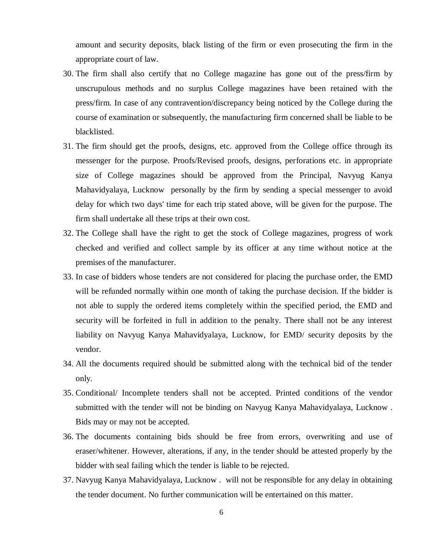amount and security deposits, black listing of the firm or even prosecuting the firm in the appropriate court of law.

- 30. The firm shall also certify that no College magazine has gone out of the press/firm by unscrupulous methods and no surplus College magazines have been retained with the press/firm. In case of any contravention/discrepancy being noticed by the College during the course of examination or subsequently, the manufacturing firm concerned shall be liable to be blacklisted.
- 31. The firm should get the proofs, designs, etc. approved from the College office through its messenger for the purpose. Proofs/Revised proofs, designs, perforations etc. in appropriate size of College magazines should be approved from the Principal, Navyug Kanya Mahavidyalaya, Lucknow personally by the firm by sending a special messenger to avoid delay for which two days' time for each trip stated above, will be given for the purpose. The firm shall undertake all these trips at their own cost.
- 32. The College shall have the right to get the stock of College magazines, progress of work checked and verified and collect sample by its officer at any time without notice at the premises of the manufacturer.
- 33. In case of bidders whose tenders are not considered for placing the purchase order, the EMD will be refunded normally within one month of taking the purchase decision. If the bidder is not able to supply the ordered items completely within the specified period, the EMD and security will be forfeited in full in addition to the penalty. There shall not be any interest liability on Navyug Kanya Mahavidyalaya, Lucknow, for EMD/ security deposits by the vendor.
- 34. All the documents required should be submitted along with the technical bid of the tender only.
- 35. Conditional/ Incomplete tenders shall not be accepted. Printed conditions of the vendor submitted with the tender will not be binding on Navyug Kanya Mahavidyalaya, Lucknow . Bids may or may not be accepted.
- 36. The documents containing bids should be free from errors, overwriting and use of eraser/whitener. However, alterations, if any, in the tender should be attested properly by the bidder with seal failing which the tender is liable to be rejected.
- 37. Navyug Kanya Mahavidyalaya, Lucknow . will not be responsible for any delay in obtaining the tender document. No further communication will be entertained on this matter.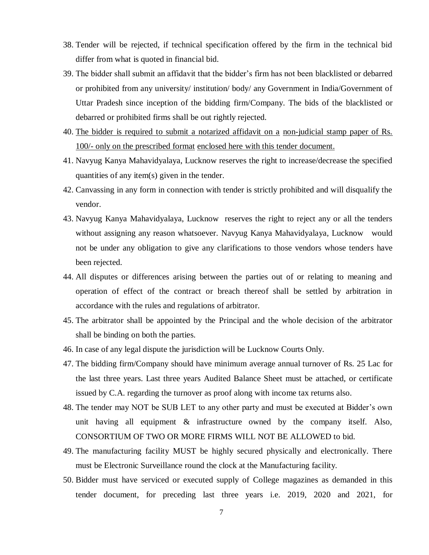- 38. Tender will be rejected, if technical specification offered by the firm in the technical bid differ from what is quoted in financial bid.
- 39. The bidder shall submit an affidavit that the bidder"s firm has not been blacklisted or debarred or prohibited from any university/ institution/ body/ any Government in India/Government of Uttar Pradesh since inception of the bidding firm/Company. The bids of the blacklisted or debarred or prohibited firms shall be out rightly rejected.
- 40. The bidder is required to submit a notarized affidavit on a non-judicial stamp paper of Rs. 100/- only on the prescribed format enclosed here with this tender document.
- 41. Navyug Kanya Mahavidyalaya, Lucknow reserves the right to increase/decrease the specified quantities of any item(s) given in the tender.
- 42. Canvassing in any form in connection with tender is strictly prohibited and will disqualify the vendor.
- 43. Navyug Kanya Mahavidyalaya, Lucknow reserves the right to reject any or all the tenders without assigning any reason whatsoever. Navyug Kanya Mahavidyalaya, Lucknow would not be under any obligation to give any clarifications to those vendors whose tenders have been rejected.
- 44. All disputes or differences arising between the parties out of or relating to meaning and operation of effect of the contract or breach thereof shall be settled by arbitration in accordance with the rules and regulations of arbitrator.
- 45. The arbitrator shall be appointed by the Principal and the whole decision of the arbitrator shall be binding on both the parties.
- 46. In case of any legal dispute the jurisdiction will be Lucknow Courts Only.
- 47. The bidding firm/Company should have minimum average annual turnover of Rs. 25 Lac for the last three years. Last three years Audited Balance Sheet must be attached, or certificate issued by C.A. regarding the turnover as proof along with income tax returns also.
- 48. The tender may NOT be SUB LET to any other party and must be executed at Bidder"s own unit having all equipment & infrastructure owned by the company itself. Also, CONSORTIUM OF TWO OR MORE FIRMS WILL NOT BE ALLOWED to bid.
- 49. The manufacturing facility MUST be highly secured physically and electronically. There must be Electronic Surveillance round the clock at the Manufacturing facility.
- 50. Bidder must have serviced or executed supply of College magazines as demanded in this tender document, for preceding last three years i.e. 2019, 2020 and 2021, for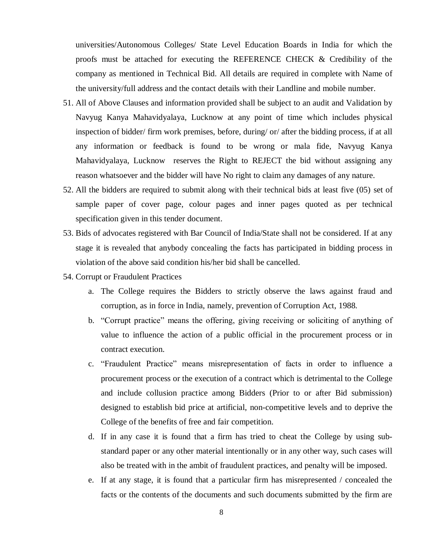universities/Autonomous Colleges/ State Level Education Boards in India for which the proofs must be attached for executing the REFERENCE CHECK & Credibility of the company as mentioned in Technical Bid. All details are required in complete with Name of the university/full address and the contact details with their Landline and mobile number.

- 51. All of Above Clauses and information provided shall be subject to an audit and Validation by Navyug Kanya Mahavidyalaya, Lucknow at any point of time which includes physical inspection of bidder/ firm work premises, before, during/ or/ after the bidding process, if at all any information or feedback is found to be wrong or mala fide, Navyug Kanya Mahavidyalaya, Lucknow reserves the Right to REJECT the bid without assigning any reason whatsoever and the bidder will have No right to claim any damages of any nature.
- 52. All the bidders are required to submit along with their technical bids at least five (05) set of sample paper of cover page, colour pages and inner pages quoted as per technical specification given in this tender document.
- 53. Bids of advocates registered with Bar Council of India/State shall not be considered. If at any stage it is revealed that anybody concealing the facts has participated in bidding process in violation of the above said condition his/her bid shall be cancelled.
- 54. Corrupt or Fraudulent Practices
	- a. The College requires the Bidders to strictly observe the laws against fraud and corruption, as in force in India, namely, prevention of Corruption Act, 1988.
	- b. "Corrupt practice" means the offering, giving receiving or soliciting of anything of value to influence the action of a public official in the procurement process or in contract execution.
	- c. "Fraudulent Practice" means misrepresentation of facts in order to influence a procurement process or the execution of a contract which is detrimental to the College and include collusion practice among Bidders (Prior to or after Bid submission) designed to establish bid price at artificial, non-competitive levels and to deprive the College of the benefits of free and fair competition.
	- d. If in any case it is found that a firm has tried to cheat the College by using substandard paper or any other material intentionally or in any other way, such cases will also be treated with in the ambit of fraudulent practices, and penalty will be imposed.
	- e. If at any stage, it is found that a particular firm has misrepresented / concealed the facts or the contents of the documents and such documents submitted by the firm are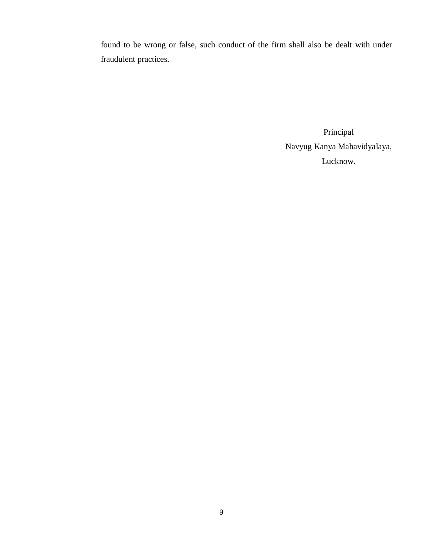found to be wrong or false, such conduct of the firm shall also be dealt with under fraudulent practices.

> Principal Navyug Kanya Mahavidyalaya, Lucknow.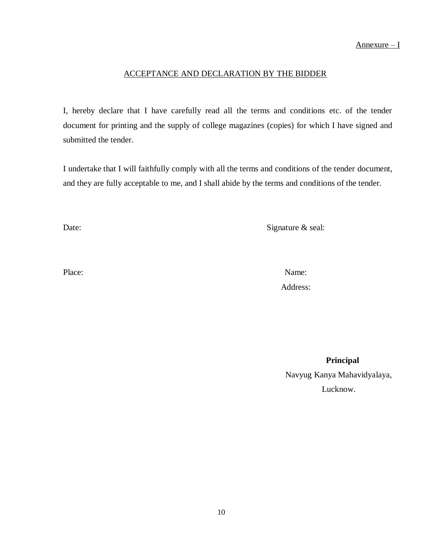#### ACCEPTANCE AND DECLARATION BY THE BIDDER

I, hereby declare that I have carefully read all the terms and conditions etc. of the tender document for printing and the supply of college magazines (copies) for which I have signed and submitted the tender.

I undertake that I will faithfully comply with all the terms and conditions of the tender document, and they are fully acceptable to me, and I shall abide by the terms and conditions of the tender.

Date: Signature & seal:

Place: Name: Name: Name: Name: Name: Name: Name: Name: Name: Name: Name: Name: Name: Name: Name: Name: Name: Name: Name: Name: Name: Name: Name: Name: Name: Name: Name: Name: Name: Name: Name: Name: Name: Name: Name: Name: Address:

> **Principal** Navyug Kanya Mahavidyalaya, Lucknow.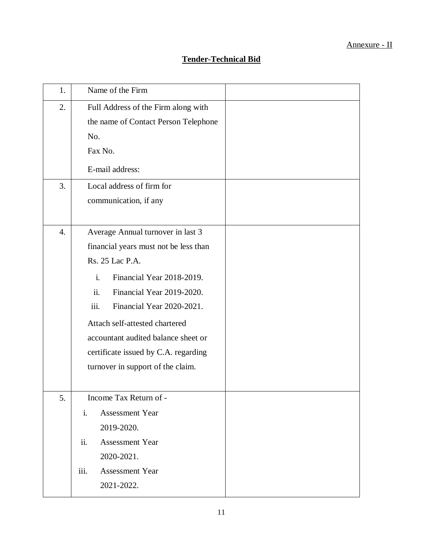| 1.               | Name of the Firm                            |  |
|------------------|---------------------------------------------|--|
| 2.               | Full Address of the Firm along with         |  |
|                  | the name of Contact Person Telephone        |  |
|                  | No.                                         |  |
|                  | Fax No.                                     |  |
|                  | E-mail address:                             |  |
| 3.               | Local address of firm for                   |  |
|                  | communication, if any                       |  |
|                  |                                             |  |
| $\overline{4}$ . | Average Annual turnover in last 3           |  |
|                  | financial years must not be less than       |  |
|                  | Rs. 25 Lac P.A.                             |  |
|                  | $\mathbf{i}$ .<br>Financial Year 2018-2019. |  |
|                  | ii.<br>Financial Year 2019-2020.            |  |
|                  | iii.<br>Financial Year 2020-2021.           |  |
|                  | Attach self-attested chartered              |  |
|                  | accountant audited balance sheet or         |  |
|                  | certificate issued by C.A. regarding        |  |
|                  | turnover in support of the claim.           |  |
|                  |                                             |  |
| 5.               | Income Tax Return of -                      |  |
|                  | i.<br><b>Assessment Year</b>                |  |
|                  | 2019-2020.                                  |  |
|                  | ii.<br><b>Assessment Year</b>               |  |
|                  | 2020-2021.                                  |  |
|                  | iii.<br><b>Assessment Year</b>              |  |
|                  | 2021-2022.                                  |  |
|                  |                                             |  |

## **Tender-Technical Bid**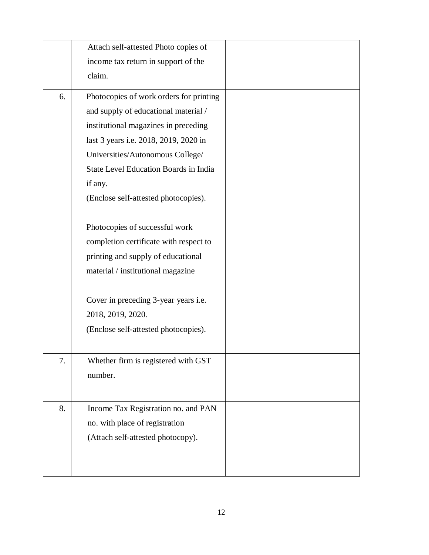|    | Attach self-attested Photo copies of         |  |
|----|----------------------------------------------|--|
|    | income tax return in support of the          |  |
|    | claim.                                       |  |
| 6. | Photocopies of work orders for printing      |  |
|    | and supply of educational material /         |  |
|    | institutional magazines in preceding         |  |
|    | last 3 years i.e. 2018, 2019, 2020 in        |  |
|    | Universities/Autonomous College/             |  |
|    | <b>State Level Education Boards in India</b> |  |
|    | if any.                                      |  |
|    | (Enclose self-attested photocopies).         |  |
|    | Photocopies of successful work               |  |
|    | completion certificate with respect to       |  |
|    | printing and supply of educational           |  |
|    | material / institutional magazine            |  |
|    | Cover in preceding 3-year years i.e.         |  |
|    | 2018, 2019, 2020.                            |  |
|    | (Enclose self-attested photocopies).         |  |
|    |                                              |  |
| 7. | Whether firm is registered with GST          |  |
|    | number.                                      |  |
|    |                                              |  |
| 8. | Income Tax Registration no. and PAN          |  |
|    | no. with place of registration               |  |
|    | (Attach self-attested photocopy).            |  |
|    |                                              |  |
|    |                                              |  |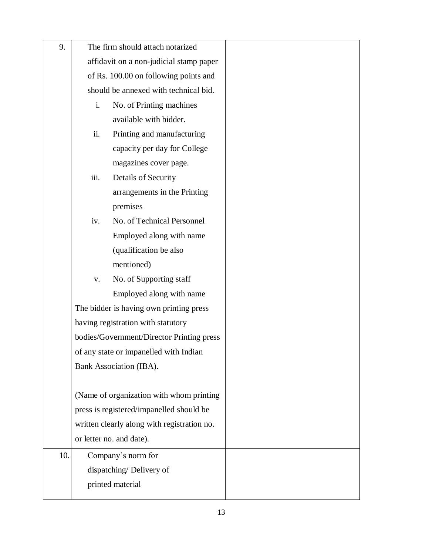| 9.  | The firm should attach notarized          |                                             |  |
|-----|-------------------------------------------|---------------------------------------------|--|
|     |                                           | affidavit on a non-judicial stamp paper     |  |
|     |                                           | of Rs. 100.00 on following points and       |  |
|     |                                           | should be annexed with technical bid.       |  |
|     | No. of Printing machines<br>i.            |                                             |  |
|     | available with bidder.                    |                                             |  |
|     | ii.                                       | Printing and manufacturing                  |  |
|     |                                           | capacity per day for College                |  |
|     |                                           | magazines cover page.                       |  |
|     | iii.                                      | Details of Security                         |  |
|     |                                           | arrangements in the Printing                |  |
|     |                                           | premises                                    |  |
|     | iv.                                       | No. of Technical Personnel                  |  |
|     |                                           | Employed along with name                    |  |
|     |                                           | (qualification be also                      |  |
|     |                                           | mentioned)                                  |  |
|     | $\mathbf{V}$ .                            | No. of Supporting staff                     |  |
|     |                                           | Employed along with name                    |  |
|     | The bidder is having own printing press   |                                             |  |
|     | having registration with statutory        |                                             |  |
|     | bodies/Government/Director Printing press |                                             |  |
|     |                                           | of any state or impanelled with Indian      |  |
|     |                                           | Bank Association (IBA).                     |  |
|     |                                           |                                             |  |
|     | (Name of organization with whom printing  |                                             |  |
|     |                                           | press is registered/impanelled should be    |  |
|     |                                           | written clearly along with registration no. |  |
|     |                                           | or letter no. and date).                    |  |
| 10. |                                           | Company's norm for                          |  |
|     |                                           | dispatching/Delivery of                     |  |
|     | printed material                          |                                             |  |
|     |                                           |                                             |  |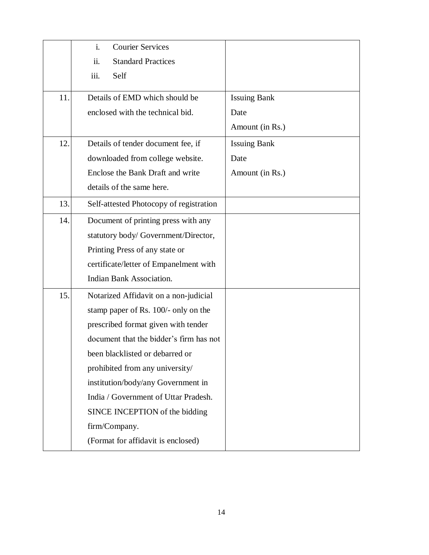|     | i.<br><b>Courier Services</b>           |                     |
|-----|-----------------------------------------|---------------------|
|     | ii.<br><b>Standard Practices</b>        |                     |
|     | iii.<br>Self                            |                     |
| 11. | Details of EMD which should be          | <b>Issuing Bank</b> |
|     | enclosed with the technical bid.        | Date                |
|     |                                         | Amount (in Rs.)     |
| 12. | Details of tender document fee, if      | <b>Issuing Bank</b> |
|     | downloaded from college website.        | Date                |
|     | Enclose the Bank Draft and write        | Amount (in Rs.)     |
|     | details of the same here.               |                     |
| 13. | Self-attested Photocopy of registration |                     |
| 14. | Document of printing press with any     |                     |
|     | statutory body/ Government/Director,    |                     |
|     | Printing Press of any state or          |                     |
|     | certificate/letter of Empanelment with  |                     |
|     | <b>Indian Bank Association.</b>         |                     |
| 15. | Notarized Affidavit on a non-judicial   |                     |
|     | stamp paper of Rs. 100/- only on the    |                     |
|     | prescribed format given with tender     |                     |
|     | document that the bidder's firm has not |                     |
|     | been blacklisted or debarred or         |                     |
|     | prohibited from any university/         |                     |
|     | institution/body/any Government in      |                     |
|     | India / Government of Uttar Pradesh.    |                     |
|     | SINCE INCEPTION of the bidding          |                     |
|     | firm/Company.                           |                     |
|     | (Format for affidavit is enclosed)      |                     |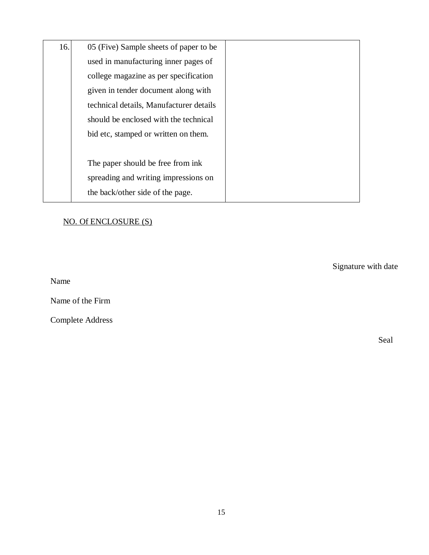| 16. | 05 (Five) Sample sheets of paper to be  |  |
|-----|-----------------------------------------|--|
|     | used in manufacturing inner pages of    |  |
|     | college magazine as per specification   |  |
|     | given in tender document along with     |  |
|     | technical details, Manufacturer details |  |
|     | should be enclosed with the technical   |  |
|     | bid etc, stamped or written on them.    |  |
|     |                                         |  |
|     | The paper should be free from ink       |  |
|     | spreading and writing impressions on    |  |
|     | the back/other side of the page.        |  |

## NO. Of ENCLOSURE (S)

Signature with date

Name

Name of the Firm

Complete Address

Seal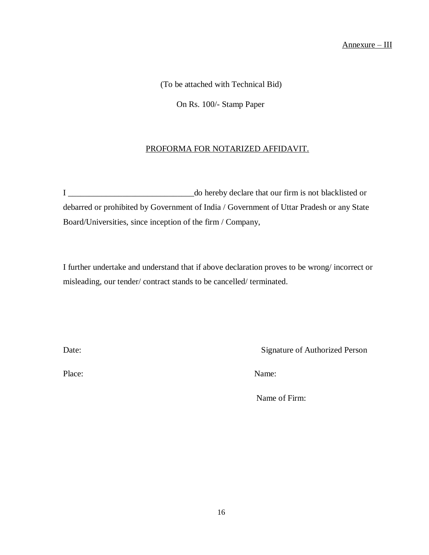(To be attached with Technical Bid)

On Rs. 100/- Stamp Paper

#### PROFORMA FOR NOTARIZED AFFIDAVIT.

I \_\_\_\_\_\_\_\_\_\_\_\_\_\_\_\_\_\_\_\_\_\_\_\_\_\_\_\_\_\_do hereby declare that our firm is not blacklisted or debarred or prohibited by Government of India / Government of Uttar Pradesh or any State Board/Universities, since inception of the firm / Company,

I further undertake and understand that if above declaration proves to be wrong/ incorrect or misleading, our tender/ contract stands to be cancelled/ terminated.

Date: Signature of Authorized Person

Place: Name:

Name of Firm: